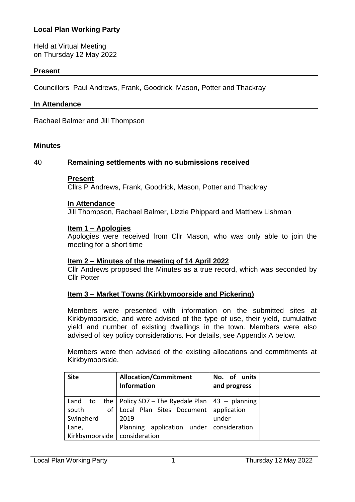Held at Virtual Meeting on Thursday 12 May 2022

### **Present**

Councillors Paul Andrews, Frank, Goodrick, Mason, Potter and Thackray

#### **In Attendance**

Rachael Balmer and Jill Thompson

#### **Minutes**

#### 40 **Remaining settlements with no submissions received**

#### **Present**

Cllrs P Andrews, Frank, Goodrick, Mason, Potter and Thackray

#### **In Attendance**

Jill Thompson, Rachael Balmer, Lizzie Phippard and Matthew Lishman

### **Item 1 – Apologies**

Apologies were received from Cllr Mason, who was only able to join the meeting for a short time

### **Item 2 – Minutes of the meeting of 14 April 2022**

Cllr Andrews proposed the Minutes as a true record, which was seconded by Cllr Potter

### **Item 3 – Market Towns (Kirkbymoorside and Pickering)**

Members were presented with information on the submitted sites at Kirkbymoorside, and were advised of the type of use, their yield, cumulative yield and number of existing dwellings in the town. Members were also advised of key policy considerations. For details, see Appendix A below.

Members were then advised of the existing allocations and commitments at Kirkbymoorside.

| <b>Site</b>                   | <b>Allocation/Commitment</b><br><b>Information</b>                                                          | No. of units<br>and progress |
|-------------------------------|-------------------------------------------------------------------------------------------------------------|------------------------------|
| Land to<br>south<br>Swineherd | the   Policy SD7 – The Ryedale Plan   43 – planning<br>of   Local Plan Sites Document   application<br>2019 | under                        |
| Lane,<br>Kirkbymoorside       | Planning application under   consideration<br>consideration                                                 |                              |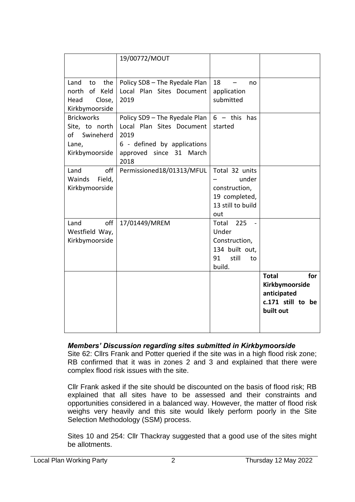|                                                                                   | 19/00772/MOUT                                                                                                                        |                                                                                         |                                                                                        |
|-----------------------------------------------------------------------------------|--------------------------------------------------------------------------------------------------------------------------------------|-----------------------------------------------------------------------------------------|----------------------------------------------------------------------------------------|
| Land<br>the<br>to<br>of Keld<br>north<br>Head<br>Close,<br>Kirkbymoorside         | Policy SD8 - The Ryedale Plan<br>Local Plan Sites Document<br>2019                                                                   | 18<br>no<br>application<br>submitted                                                    |                                                                                        |
| <b>Brickworks</b><br>Site, to north<br>Swineherd<br>of<br>Lane,<br>Kirkbymoorside | Policy SD9 - The Ryedale Plan<br>Local Plan Sites Document<br>2019<br>6 - defined by applications<br>approved since 31 March<br>2018 | $6 - \text{this}$ has<br>started                                                        |                                                                                        |
| Land<br>off<br>Field,<br>Wainds<br>Kirkbymoorside                                 | Permissioned18/01313/MFUL                                                                                                            | Total 32 units<br>under<br>construction,<br>19 completed,<br>13 still to build<br>out   |                                                                                        |
| Land<br>off<br>Westfield Way,<br>Kirkbymoorside                                   | 17/01449/MREM                                                                                                                        | 225<br>Total<br>Under<br>Construction,<br>134 built out,<br>91<br>still<br>to<br>build. |                                                                                        |
|                                                                                   |                                                                                                                                      |                                                                                         | <b>Total</b><br>for<br>Kirkbymoorside<br>anticipated<br>c.171 still to be<br>built out |

### *Members' Discussion regarding sites submitted in Kirkbymoorside*

Site 62: Cllrs Frank and Potter queried if the site was in a high flood risk zone; RB confirmed that it was in zones 2 and 3 and explained that there were complex flood risk issues with the site.

Cllr Frank asked if the site should be discounted on the basis of flood risk; RB explained that all sites have to be assessed and their constraints and opportunities considered in a balanced way. However, the matter of flood risk weighs very heavily and this site would likely perform poorly in the Site Selection Methodology (SSM) process.

Sites 10 and 254: Cllr Thackray suggested that a good use of the sites might be allotments.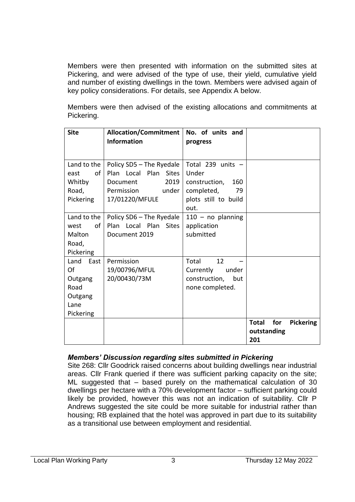Members were then presented with information on the submitted sites at Pickering, and were advised of the type of use, their yield, cumulative yield and number of existing dwellings in the town. Members were advised again of key policy considerations. For details, see Appendix A below.

Members were then advised of the existing allocations and commitments at Pickering.

| <b>Site</b>  | <b>Allocation/Commitment</b>    | No. of units and     |                                         |
|--------------|---------------------------------|----------------------|-----------------------------------------|
|              | <b>Information</b>              | progress             |                                         |
|              |                                 |                      |                                         |
| Land to the  | Policy SD5 - The Ryedale        | Total 239 units $-$  |                                         |
| Ωf<br>east   | Plan Local Plan Sites           | Under                |                                         |
| Whitby       | 2019<br>Document                | construction,<br>160 |                                         |
| Road,        | under<br>Permission             | completed,<br>79     |                                         |
| Pickering    | 17/01220/MFULE                  | plots still to build |                                         |
|              |                                 | out.                 |                                         |
| Land to the  | Policy SD6 - The Ryedale        | $110 - no$ planning  |                                         |
| of<br>west   | Plan Local Plan<br><b>Sites</b> | application          |                                         |
| Malton       | Document 2019                   | submitted            |                                         |
| Road,        |                                 |                      |                                         |
| Pickering    |                                 |                      |                                         |
| East<br>Land | Permission                      | 12<br>Total          |                                         |
| Of           | 19/00796/MFUL                   | Currently<br>under   |                                         |
| Outgang      | 20/00430/73M                    | construction,<br>but |                                         |
| Road         |                                 | none completed.      |                                         |
| Outgang      |                                 |                      |                                         |
| Lane         |                                 |                      |                                         |
| Pickering    |                                 |                      |                                         |
|              |                                 |                      | for<br><b>Pickering</b><br><b>Total</b> |
|              |                                 |                      | outstanding                             |
|              |                                 |                      | 201                                     |

# *Members' Discussion regarding sites submitted in Pickering*

Site 268: Cllr Goodrick raised concerns about building dwellings near industrial areas. Cllr Frank queried if there was sufficient parking capacity on the site; ML suggested that – based purely on the mathematical calculation of 30 dwellings per hectare with a 70% development factor – sufficient parking could likely be provided, however this was not an indication of suitability. Cllr P Andrews suggested the site could be more suitable for industrial rather than housing; RB explained that the hotel was approved in part due to its suitability as a transitional use between employment and residential.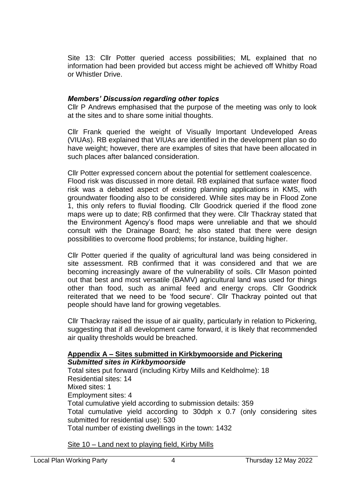Site 13: Cllr Potter queried access possibilities; ML explained that no information had been provided but access might be achieved off Whitby Road or Whistler Drive.

### *Members' Discussion regarding other topics*

Cllr P Andrews emphasised that the purpose of the meeting was only to look at the sites and to share some initial thoughts.

Cllr Frank queried the weight of Visually Important Undeveloped Areas (VIUAs). RB explained that VIUAs are identified in the development plan so do have weight; however, there are examples of sites that have been allocated in such places after balanced consideration.

Cllr Potter expressed concern about the potential for settlement coalescence. Flood risk was discussed in more detail. RB explained that surface water flood risk was a debated aspect of existing planning applications in KMS, with groundwater flooding also to be considered. While sites may be in Flood Zone 1, this only refers to fluvial flooding. Cllr Goodrick queried if the flood zone maps were up to date; RB confirmed that they were. Cllr Thackray stated that the Environment Agency's flood maps were unreliable and that we should consult with the Drainage Board; he also stated that there were design possibilities to overcome flood problems; for instance, building higher.

Cllr Potter queried if the quality of agricultural land was being considered in site assessment. RB confirmed that it was considered and that we are becoming increasingly aware of the vulnerability of soils. Cllr Mason pointed out that best and most versatile (BAMV) agricultural land was used for things other than food, such as animal feed and energy crops. Cllr Goodrick reiterated that we need to be 'food secure'. Cllr Thackray pointed out that people should have land for growing vegetables.

Cllr Thackray raised the issue of air quality, particularly in relation to Pickering, suggesting that if all development came forward, it is likely that recommended air quality thresholds would be breached.

# **Appendix A – Sites submitted in Kirkbymoorside and Pickering** *Submitted sites in Kirkbymoorside*

Total sites put forward (including Kirby Mills and Keldholme): 18 Residential sites: 14 Mixed sites: 1 Employment sites: 4 Total cumulative yield according to submission details: 359 Total cumulative yield according to 30dph x 0.7 (only considering sites submitted for residential use): 530 Total number of existing dwellings in the town: 1432

Site 10 – Land next to playing field, Kirby Mills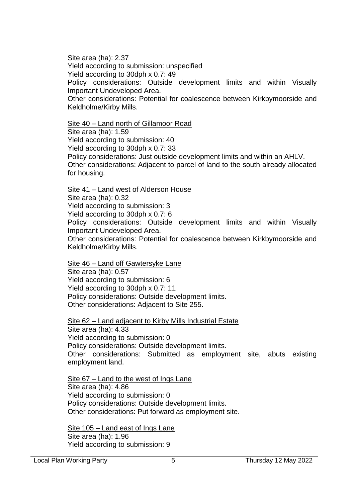Site area (ha): 2.37 Yield according to submission: unspecified Yield according to 30dph x 0.7: 49 Policy considerations: Outside development limits and within Visually Important Undeveloped Area. Other considerations: Potential for coalescence between Kirkbymoorside and Keldholme/Kirby Mills.

Site 40 – Land north of Gillamoor Road Site area (ha): 1.59 Yield according to submission: 40 Yield according to 30dph x 0.7: 33 Policy considerations: Just outside development limits and within an AHLV. Other considerations: Adjacent to parcel of land to the south already allocated for housing.

Site 41 – Land west of Alderson House

Site area (ha): 0.32

Yield according to submission: 3

Yield according to 30dph x 0.7: 6

Policy considerations: Outside development limits and within Visually Important Undeveloped Area.

Other considerations: Potential for coalescence between Kirkbymoorside and Keldholme/Kirby Mills.

Site 46 – Land off Gawtersyke Lane Site area (ha): 0.57 Yield according to submission: 6 Yield according to 30dph x 0.7: 11 Policy considerations: Outside development limits. Other considerations: Adjacent to Site 255.

Site 62 – Land adjacent to Kirby Mills Industrial Estate Site area (ha): 4.33 Yield according to submission: 0 Policy considerations: Outside development limits. Other considerations: Submitted as employment site, abuts existing employment land.

Site 67 – Land to the west of Ings Lane Site area (ha): 4.86 Yield according to submission: 0 Policy considerations: Outside development limits. Other considerations: Put forward as employment site.

Site 105 – Land east of Ings Lane Site area (ha): 1.96 Yield according to submission: 9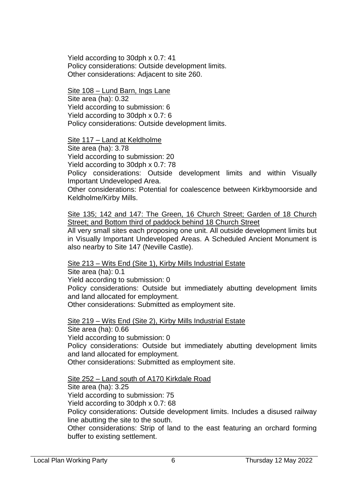Yield according to 30dph x 0.7: 41 Policy considerations: Outside development limits. Other considerations: Adjacent to site 260.

Site 108 – Lund Barn, Ings Lane Site area (ha): 0.32 Yield according to submission: 6 Yield according to 30dph x 0.7: 6 Policy considerations: Outside development limits.

Site 117 - Land at Keldholme

Site area (ha): 3.78

Yield according to submission: 20

Yield according to 30dph x 0.7: 78

Policy considerations: Outside development limits and within Visually Important Undeveloped Area.

Other considerations: Potential for coalescence between Kirkbymoorside and Keldholme/Kirby Mills.

Site 135; 142 and 147: The Green, 16 Church Street; Garden of 18 Church Street; and Bottom third of paddock behind 18 Church Street

All very small sites each proposing one unit. All outside development limits but in Visually Important Undeveloped Areas. A Scheduled Ancient Monument is also nearby to Site 147 (Neville Castle).

Site 213 – Wits End (Site 1), Kirby Mills Industrial Estate

Site area (ha): 0.1 Yield according to submission: 0 Policy considerations: Outside but immediately abutting development limits and land allocated for employment. Other considerations: Submitted as employment site.

Site 219 – Wits End (Site 2), Kirby Mills Industrial Estate Site area (ha): 0.66 Yield according to submission: 0 Policy considerations: Outside but immediately abutting development limits and land allocated for employment. Other considerations: Submitted as employment site.

Site 252 – Land south of A170 Kirkdale Road Site area (ha): 3.25 Yield according to submission: 75 Yield according to 30dph x 0.7: 68 Policy considerations: Outside development limits. Includes a disused railway line abutting the site to the south. Other considerations: Strip of land to the east featuring an orchard forming buffer to existing settlement.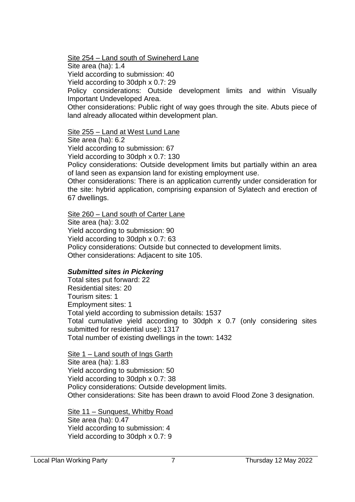Site 254 – Land south of Swineherd Lane

Site area (ha): 1.4

Yield according to submission: 40

Yield according to 30dph x 0.7: 29

Policy considerations: Outside development limits and within Visually Important Undeveloped Area.

Other considerations: Public right of way goes through the site. Abuts piece of land already allocated within development plan.

### Site 255 – Land at West Lund Lane

Site area (ha): 6.2

Yield according to submission: 67

Yield according to 30dph x 0.7: 130

Policy considerations: Outside development limits but partially within an area of land seen as expansion land for existing employment use.

Other considerations: There is an application currently under consideration for the site: hybrid application, comprising expansion of Sylatech and erection of 67 dwellings.

# Site 260 – Land south of Carter Lane

Site area (ha): 3.02 Yield according to submission: 90 Yield according to 30dph x 0.7: 63 Policy considerations: Outside but connected to development limits. Other considerations: Adjacent to site 105.

# *Submitted sites in Pickering*

Total sites put forward: 22 Residential sites: 20 Tourism sites: 1 Employment sites: 1 Total yield according to submission details: 1537 Total cumulative yield according to 30dph x 0.7 (only considering sites submitted for residential use): 1317 Total number of existing dwellings in the town: 1432

Site 1 – Land south of Ings Garth Site area (ha): 1.83 Yield according to submission: 50 Yield according to 30dph x 0.7: 38 Policy considerations: Outside development limits. Other considerations: Site has been drawn to avoid Flood Zone 3 designation.

Site 11 – Sunquest, Whitby Road Site area (ha): 0.47 Yield according to submission: 4 Yield according to 30dph x 0.7: 9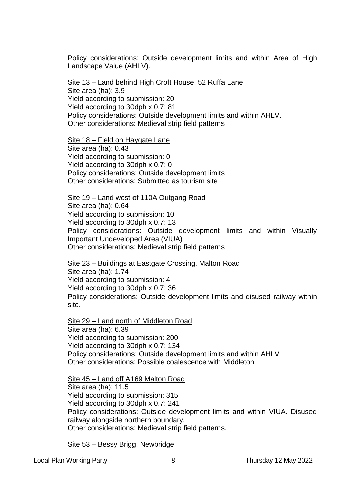Policy considerations: Outside development limits and within Area of High Landscape Value (AHLV).

Site 13 – Land behind High Croft House, 52 Ruffa Lane Site area (ha): 3.9 Yield according to submission: 20 Yield according to 30dph x 0.7: 81 Policy considerations: Outside development limits and within AHLV. Other considerations: Medieval strip field patterns

Site 18 – Field on Haygate Lane Site area (ha): 0.43 Yield according to submission: 0 Yield according to 30dph x 0.7: 0 Policy considerations: Outside development limits Other considerations: Submitted as tourism site

Site 19 – Land west of 110A Outgang Road Site area (ha): 0.64 Yield according to submission: 10 Yield according to 30dph x 0.7: 13 Policy considerations: Outside development limits and within Visually Important Undeveloped Area (VIUA) Other considerations: Medieval strip field patterns

Site 23 – Buildings at Eastgate Crossing, Malton Road Site area (ha): 1.74 Yield according to submission: 4 Yield according to 30dph x 0.7: 36 Policy considerations: Outside development limits and disused railway within site.

Site 29 – Land north of Middleton Road Site area (ha): 6.39 Yield according to submission: 200 Yield according to 30dph x 0.7: 134 Policy considerations: Outside development limits and within AHLV Other considerations: Possible coalescence with Middleton

Site 45 – Land off A169 Malton Road Site area (ha): 11.5 Yield according to submission: 315 Yield according to 30dph x 0.7: 241 Policy considerations: Outside development limits and within VIUA. Disused railway alongside northern boundary. Other considerations: Medieval strip field patterns.

Site 53 – Bessy Brigg, Newbridge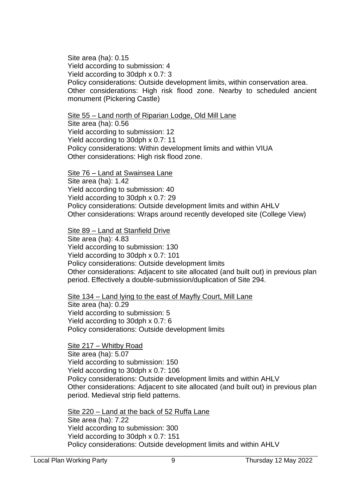Site area (ha): 0.15 Yield according to submission: 4 Yield according to 30dph x 0.7: 3 Policy considerations: Outside development limits, within conservation area. Other considerations: High risk flood zone. Nearby to scheduled ancient monument (Pickering Castle)

Site 55 – Land north of Riparian Lodge, Old Mill Lane

Site area (ha): 0.56 Yield according to submission: 12 Yield according to 30dph x 0.7: 11 Policy considerations: Within development limits and within VIUA Other considerations: High risk flood zone.

Site 76 – Land at Swainsea Lane Site area (ha): 1.42 Yield according to submission: 40 Yield according to 30dph x 0.7: 29 Policy considerations: Outside development limits and within AHLV Other considerations: Wraps around recently developed site (College View)

Site 89 – Land at Stanfield Drive Site area (ha): 4.83 Yield according to submission: 130 Yield according to 30dph x 0.7: 101 Policy considerations: Outside development limits Other considerations: Adjacent to site allocated (and built out) in previous plan period. Effectively a double-submission/duplication of Site 294.

Site 134 – Land lying to the east of Mayfly Court, Mill Lane Site area (ha): 0.29 Yield according to submission: 5 Yield according to 30dph x 0.7: 6 Policy considerations: Outside development limits

Site 217 – Whitby Road Site area (ha): 5.07 Yield according to submission: 150 Yield according to 30dph x 0.7: 106 Policy considerations: Outside development limits and within AHLV Other considerations: Adjacent to site allocated (and built out) in previous plan period. Medieval strip field patterns.

Site 220 – Land at the back of 52 Ruffa Lane Site area (ha): 7.22 Yield according to submission: 300 Yield according to 30dph x 0.7: 151 Policy considerations: Outside development limits and within AHLV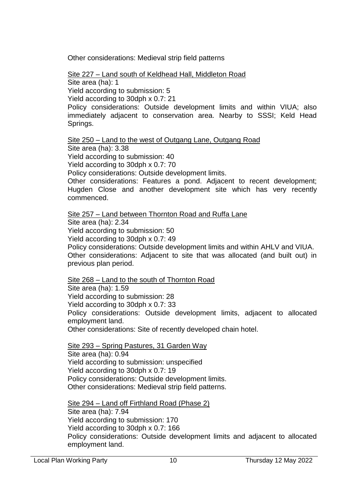Other considerations: Medieval strip field patterns

Site 227 – Land south of Keldhead Hall, Middleton Road

Site area (ha): 1 Yield according to submission: 5

Yield according to 30dph x 0.7: 21

Policy considerations: Outside development limits and within VIUA; also immediately adjacent to conservation area. Nearby to SSSI; Keld Head Springs.

Site 250 – Land to the west of Outgang Lane, Outgang Road

Site area (ha): 3.38

Yield according to submission: 40

Yield according to 30dph x 0.7: 70

Policy considerations: Outside development limits.

Other considerations: Features a pond. Adjacent to recent development; Hugden Close and another development site which has very recently commenced.

Site 257 – Land between Thornton Road and Ruffa Lane

Site area (ha): 2.34

Yield according to submission: 50

Yield according to 30dph x 0.7: 49

Policy considerations: Outside development limits and within AHLV and VIUA.

Other considerations: Adjacent to site that was allocated (and built out) in previous plan period.

Site 268 – Land to the south of Thornton Road

Site area (ha): 1.59

Yield according to submission: 28

Yield according to 30dph x 0.7: 33

Policy considerations: Outside development limits, adjacent to allocated employment land.

Other considerations: Site of recently developed chain hotel.

Site 293 – Spring Pastures, 31 Garden Way Site area (ha): 0.94 Yield according to submission: unspecified Yield according to 30dph x 0.7: 19 Policy considerations: Outside development limits. Other considerations: Medieval strip field patterns.

Site 294 – Land off Firthland Road (Phase 2) Site area (ha): 7.94 Yield according to submission: 170 Yield according to 30dph x 0.7: 166 Policy considerations: Outside development limits and adjacent to allocated employment land.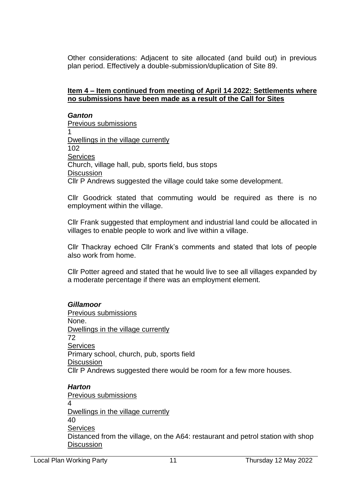Other considerations: Adjacent to site allocated (and build out) in previous plan period. Effectively a double-submission/duplication of Site 89.

### **Item 4 – Item continued from meeting of April 14 2022: Settlements where no submissions have been made as a result of the Call for Sites**

### *Ganton*

Previous submissions 1 Dwellings in the village currently 102 **Services** Church, village hall, pub, sports field, bus stops **Discussion** Cllr P Andrews suggested the village could take some development.

Cllr Goodrick stated that commuting would be required as there is no employment within the village.

Cllr Frank suggested that employment and industrial land could be allocated in villages to enable people to work and live within a village.

Cllr Thackray echoed Cllr Frank's comments and stated that lots of people also work from home.

Cllr Potter agreed and stated that he would live to see all villages expanded by a moderate percentage if there was an employment element.

### *Gillamoor*

Previous submissions None. Dwellings in the village currently 72 **Services** Primary school, church, pub, sports field **Discussion** Cllr P Andrews suggested there would be room for a few more houses.

#### *Harton* Previous submissions 4 Dwellings in the village currently 40 **Services** Distanced from the village, on the A64: restaurant and petrol station with shop **Discussion**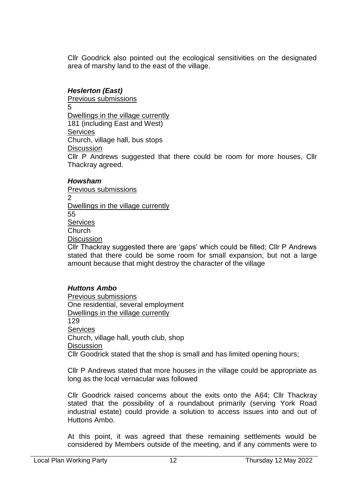Cllr Goodrick also pointed out the ecological sensitivities on the designated area of marshy land to the east of the village.

# *Heslerton (East)*

Previous submissions 5 Dwellings in the village currently 181 (including East and West) **Services** Church, village hall, bus stops **Discussion** Cllr P Andrews suggested that there could be room for more houses, Cllr Thackray agreed.

### *Howsham*

Previous submissions  $\mathfrak{p}$ Dwellings in the village currently 55 Services **Church Discussion** 

Cllr Thackray suggested there are 'gaps' which could be filled; Cllr P Andrews stated that there could be some room for small expansion, but not a large amount because that might destroy the character of the village

# *Huttons Ambo*

Previous submissions One residential, several employment Dwellings in the village currently 129 **Services** Church, village hall, youth club, shop **Discussion** Cllr Goodrick stated that the shop is small and has limited opening hours;

Cllr P Andrews stated that more houses in the village could be appropriate as long as the local vernacular was followed

Cllr Goodrick raised concerns about the exits onto the A64; Cllr Thackray stated that the possibility of a roundabout primarily (serving York Road industrial estate) could provide a solution to access issues into and out of Huttons Ambo.

At this point, it was agreed that these remaining settlements would be considered by Members outside of the meeting, and if any comments were to